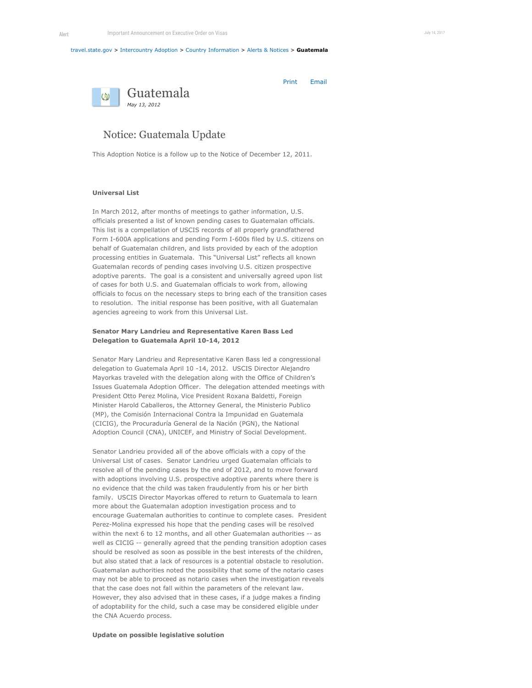#### [travel.state.gov](https://tsgstagingauthor.ca.state.sbu/content/travel/en.html) > [Intercountry Adoption](https://tsgstagingauthor.ca.state.sbu/content/adoptionsabroad/en.html) > [Country Information](https://tsgstagingauthor.ca.state.sbu/content/adoptionsabroad/en/country-information.html) > [Alerts & Notices](https://tsgstagingauthor.ca.state.sbu/content/adoptionsabroad/en/country-information/alerts-and-notices.html) > **Guatemala**



Print Email

# Notice: Guatemala Update

This Adoption Notice is a follow up to the Notice of December 12, 2011.

# **Universal List**

In March 2012, after months of meetings to gather information, U.S. officials presented a list of known pending cases to Guatemalan officials. This list is a compellation of USCIS records of all properly grandfathered Form I-600A applications and pending Form I-600s filed by U.S. citizens on behalf of Guatemalan children, and lists provided by each of the adoption processing entities in Guatemala. This "Universal List" reflects all known Guatemalan records of pending cases involving U.S. citizen prospective adoptive parents. The goal is a consistent and universally agreed upon list of cases for both U.S. and Guatemalan officials to work from, allowing officials to focus on the necessary steps to bring each of the transition cases to resolution. The initial response has been positive, with all Guatemalan agencies agreeing to work from this Universal List.

## **Senator Mary Landrieu and Representative Karen Bass Led Delegation to Guatemala April 10-14, 2012**

Senator Mary Landrieu and Representative Karen Bass led a congressional delegation to Guatemala April 10 -14, 2012. USCIS Director Alejandro Mayorkas traveled with the delegation along with the Office of Children's Issues Guatemala Adoption Officer. The delegation attended meetings with President Otto Perez Molina, Vice President Roxana Baldetti, Foreign Minister Harold Caballeros, the Attorney General, the Ministerio Publico (MP), the Comisión Internacional Contra la Impunidad en Guatemala (CICIG), the Procuraduría General de la Nación (PGN), the National Adoption Council (CNA), UNICEF, and Ministry of Social Development.

Senator Landrieu provided all of the above officials with a copy of the Universal List of cases. Senator Landrieu urged Guatemalan officials to resolve all of the pending cases by the end of 2012, and to move forward with adoptions involving U.S. prospective adoptive parents where there is no evidence that the child was taken fraudulently from his or her birth family. USCIS Director Mayorkas offered to return to Guatemala to learn more about the Guatemalan adoption investigation process and to encourage Guatemalan authorities to continue to complete cases. President Perez-Molina expressed his hope that the pending cases will be resolved within the next 6 to 12 months, and all other Guatemalan authorities -- as well as CICIG -- generally agreed that the pending transition adoption cases should be resolved as soon as possible in the best interests of the children, but also stated that a lack of resources is a potential obstacle to resolution. Guatemalan authorities noted the possibility that some of the notario cases may not be able to proceed as notario cases when the investigation reveals that the case does not fall within the parameters of the relevant law. However, they also advised that in these cases, if a judge makes a finding of adoptability for the child, such a case may be considered eligible under the CNA Acuerdo process.

## **Update on possible legislative solution**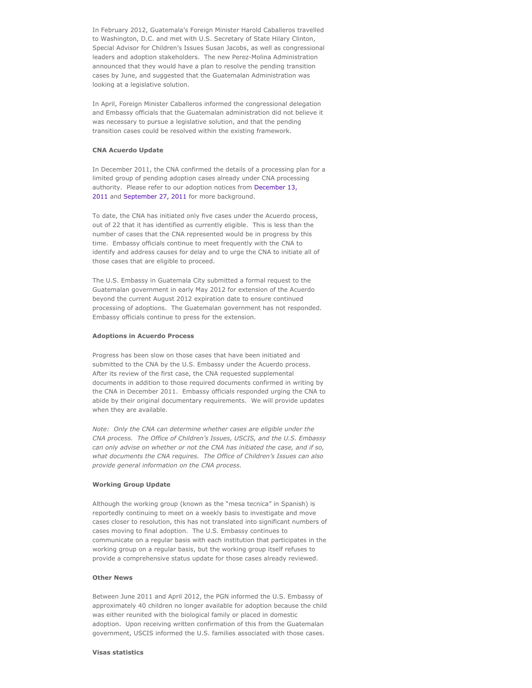In February 2012, Guatemala's Foreign Minister Harold Caballeros travelled to Washington, D.C. and met with U.S. Secretary of State Hilary Clinton, Special Advisor for Children's Issues Susan Jacobs, as well as congressional leaders and adoption stakeholders. The new Perez-Molina Administration announced that they would have a plan to resolve the pending transition cases by June, and suggested that the Guatemalan Administration was looking at a legislative solution.

In April, Foreign Minister Caballeros informed the congressional delegation and Embassy officials that the Guatemalan administration did not believe it was necessary to pursue a legislative solution, and that the pending transition cases could be resolved within the existing framework.

#### **CNA Acuerdo Update**

In December 2011, the CNA confirmed the details of a processing plan for a limited group of pending adoption cases already under CNA processing [authority. Please refer to our adoption notices from December 13,](https://tsgstagingauthor.ca.state.sbu/content/adoptionsabroad/en/country-information/alerts-and-notices/guatemala-8.html) 2011 and [September 27, 2011](https://tsgstagingauthor.ca.state.sbu/content/adoptionsabroad/en/country-information/alerts-and-notices/guatemala-7.html) for more background.

To date, the CNA has initiated only five cases under the Acuerdo process, out of 22 that it has identified as currently eligible. This is less than the number of cases that the CNA represented would be in progress by this time. Embassy officials continue to meet frequently with the CNA to identify and address causes for delay and to urge the CNA to initiate all of those cases that are eligible to proceed.

The U.S. Embassy in Guatemala City submitted a formal request to the Guatemalan government in early May 2012 for extension of the Acuerdo beyond the current August 2012 expiration date to ensure continued processing of adoptions. The Guatemalan government has not responded. Embassy officials continue to press for the extension.

#### **Adoptions in Acuerdo Process**

Progress has been slow on those cases that have been initiated and submitted to the CNA by the U.S. Embassy under the Acuerdo process. After its review of the first case, the CNA requested supplemental documents in addition to those required documents confirmed in writing by the CNA in December 2011. Embassy officials responded urging the CNA to abide by their original documentary requirements. We will provide updates when they are available.

*Note: Only the CNA can determine whether cases are eligible under the CNA process. The Office of Children's Issues, USCIS, and the U.S. Embassy can only advise on whether or not the CNA has initiated the case, and if so, what documents the CNA requires. The Office of Children's Issues can also provide general information on the CNA process.*

## **Working Group Update**

Although the working group (known as the "mesa tecnica" in Spanish) is reportedly continuing to meet on a weekly basis to investigate and move cases closer to resolution, this has not translated into significant numbers of cases moving to final adoption. The U.S. Embassy continues to communicate on a regular basis with each institution that participates in the working group on a regular basis, but the working group itself refuses to provide a comprehensive status update for those cases already reviewed.

### **Other News**

Between June 2011 and April 2012, the PGN informed the U.S. Embassy of approximately 40 children no longer available for adoption because the child was either reunited with the biological family or placed in domestic adoption. Upon receiving written confirmation of this from the Guatemalan government, USCIS informed the U.S. families associated with those cases.

#### **Visas statistics**